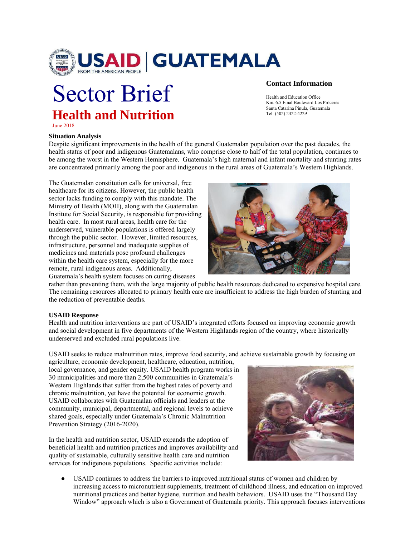

# Sector Brief **Health and Nutrition**

## **Contact Information**

Health and Education Office Km. 6.5 Final Boulevard Los Próceres Santa Catarina Pinula, Guatemala Tel: (502) 2422-4229

June 2018

#### **Situation Analysis**

Despite significant improvements in the health of the general Guatemalan population over the past decades, the health status of poor and indigenous Guatemalans, who comprise close to half of the total population, continues to be among the worst in the Western Hemisphere. Guatemala's high maternal and infant mortality and stunting rates are concentrated primarily among the poor and indigenous in the rural areas of Guatemala's Western Highlands.

The Guatemalan constitution calls for universal, free healthcare for its citizens. However, the public health sector lacks funding to comply with this mandate. The Ministry of Health (MOH), along with the Guatemalan Institute for Social Security, is responsible for providing health care. In most rural areas, health care for the underserved, vulnerable populations is offered largely through the public sector. However, limited resources, infrastructure, personnel and inadequate supplies of medicines and materials pose profound challenges within the health care system, especially for the more remote, rural indigenous areas. Additionally, Guatemala's health system focuses on curing diseases



rather than preventing them, with the large majority of public health resources dedicated to expensive hospital care. The remaining resources allocated to primary health care are insufficient to address the high burden of stunting and the reduction of preventable deaths.

### **USAID Response**

Health and nutrition interventions are part of USAID's integrated efforts focused on improving economic growth and social development in five departments of the Western Highlands region of the country, where historically underserved and excluded rural populations live.

USAID seeks to reduce malnutrition rates, improve food security, and achieve sustainable growth by focusing on agriculture, economic development, healthcare, education, nutrition,

local governance, and gender equity. USAID health program works in 30 municipalities and more than 2,500 communities in Guatemala's Western Highlands that suffer from the highest rates of poverty and chronic malnutrition, yet have the potential for economic growth. USAID collaborates with Guatemalan officials and leaders at the community, municipal, departmental, and regional levels to achieve shared goals, especially under Guatemala's Chronic Malnutrition Prevention Strategy (2016-2020).

In the health and nutrition sector, USAID expands the adoption of beneficial health and nutrition practices and improves availability and quality of sustainable, culturally sensitive health care and nutrition services for indigenous populations. Specific activities include:



USAID continues to address the barriers to improved nutritional status of women and children by increasing access to micronutrient supplements, treatment of childhood illness, and education on improved nutritional practices and better hygiene, nutrition and health behaviors. USAID uses the "Thousand Day Window" approach which is also a Government of Guatemala priority. This approach focuses interventions